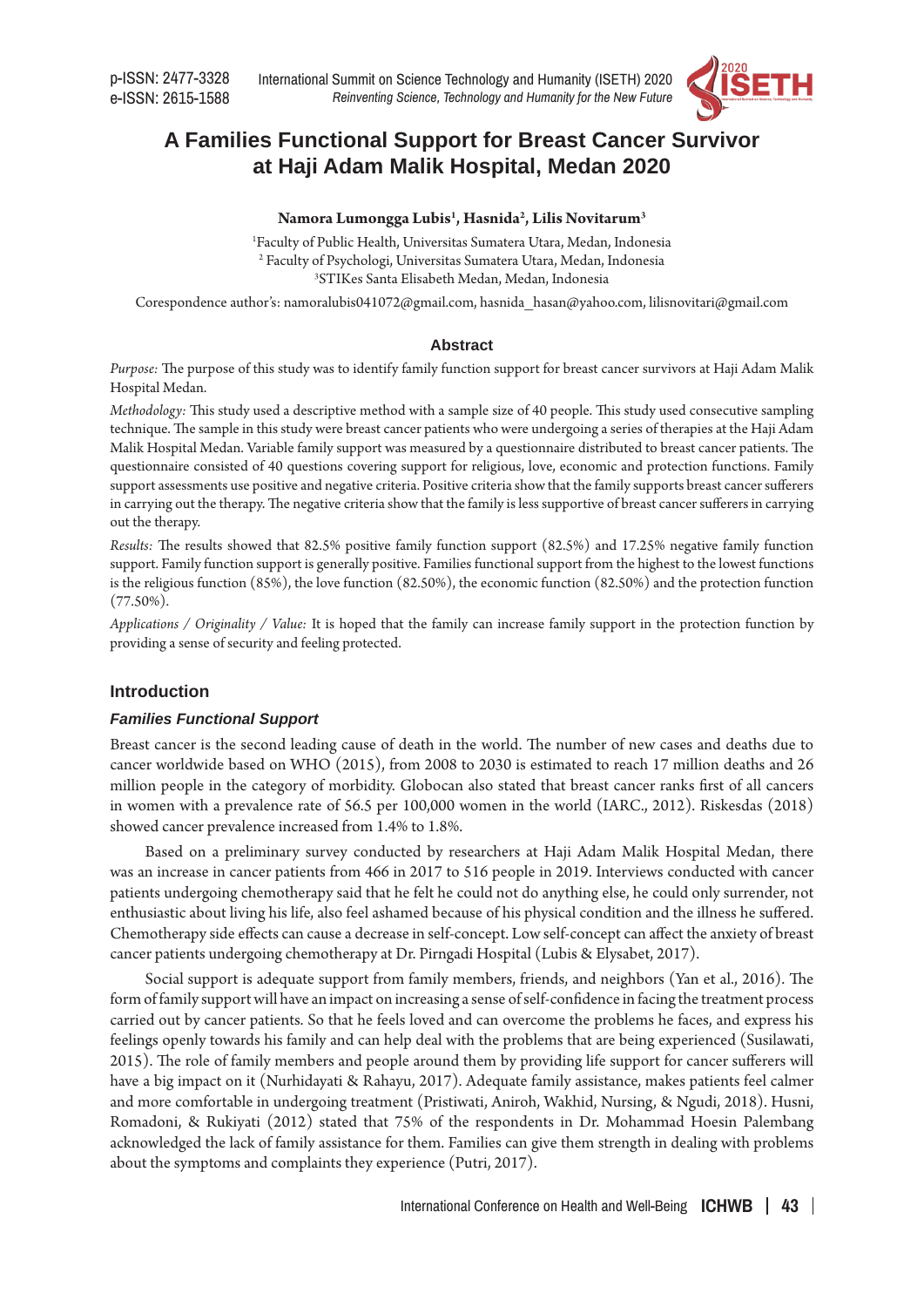

# **A Families Functional Support for Breast Cancer Survivor at Haji Adam Malik Hospital, Medan 2020**

# **Namora Lumongga Lubis1 , Hasnida2 , Lilis Novitarum3**

1 Faculty of Public Health, Universitas Sumatera Utara, Medan, Indonesia 2 Faculty of Psychologi, Universitas Sumatera Utara, Medan, Indonesia 3 STIKes Santa Elisabeth Medan, Medan, Indonesia

Corespondence author's: namoralubis041072@gmail.com, hasnida\_hasan@yahoo.com, lilisnovitari@gmail.com

#### **Abstract**

*Purpose:* The purpose of this study was to identify family function support for breast cancer survivors at Haji Adam Malik Hospital Medan.

*Methodology:* This study used a descriptive method with a sample size of 40 people. This study used consecutive sampling technique. The sample in this study were breast cancer patients who were undergoing a series of therapies at the Haji Adam Malik Hospital Medan. Variable family support was measured by a questionnaire distributed to breast cancer patients. The questionnaire consisted of 40 questions covering support for religious, love, economic and protection functions. Family support assessments use positive and negative criteria. Positive criteria show that the family supports breast cancer sufferers in carrying out the therapy. The negative criteria show that the family is less supportive of breast cancer sufferers in carrying out the therapy.

*Results:* The results showed that 82.5% positive family function support (82.5%) and 17.25% negative family function support. Family function support is generally positive. Families functional support from the highest to the lowest functions is the religious function (85%), the love function (82.50%), the economic function (82.50%) and the protection function (77.50%).

*Applications / Originality / Value:* It is hoped that the family can increase family support in the protection function by providing a sense of security and feeling protected.

## **Introduction**

## *Families Functional Support*

Breast cancer is the second leading cause of death in the world. The number of new cases and deaths due to cancer worldwide based on WHO (2015), from 2008 to 2030 is estimated to reach 17 million deaths and 26 million people in the category of morbidity. Globocan also stated that breast cancer ranks first of all cancers in women with a prevalence rate of 56.5 per 100,000 women in the world (IARC., 2012). Riskesdas (2018) showed cancer prevalence increased from 1.4% to 1.8%.

Based on a preliminary survey conducted by researchers at Haji Adam Malik Hospital Medan, there was an increase in cancer patients from 466 in 2017 to 516 people in 2019. Interviews conducted with cancer patients undergoing chemotherapy said that he felt he could not do anything else, he could only surrender, not enthusiastic about living his life, also feel ashamed because of his physical condition and the illness he suffered. Chemotherapy side effects can cause a decrease in self-concept. Low self-concept can affect the anxiety of breast cancer patients undergoing chemotherapy at Dr. Pirngadi Hospital (Lubis & Elysabet, 2017).

Social support is adequate support from family members, friends, and neighbors (Yan et al., 2016). The form of family support will have an impact on increasing a sense of self-confidence in facing the treatment process carried out by cancer patients. So that he feels loved and can overcome the problems he faces, and express his feelings openly towards his family and can help deal with the problems that are being experienced (Susilawati, 2015). The role of family members and people around them by providing life support for cancer sufferers will have a big impact on it (Nurhidayati & Rahayu, 2017). Adequate family assistance, makes patients feel calmer and more comfortable in undergoing treatment (Pristiwati, Aniroh, Wakhid, Nursing, & Ngudi, 2018). Husni, Romadoni, & Rukiyati (2012) stated that 75% of the respondents in Dr. Mohammad Hoesin Palembang acknowledged the lack of family assistance for them. Families can give them strength in dealing with problems about the symptoms and complaints they experience (Putri, 2017).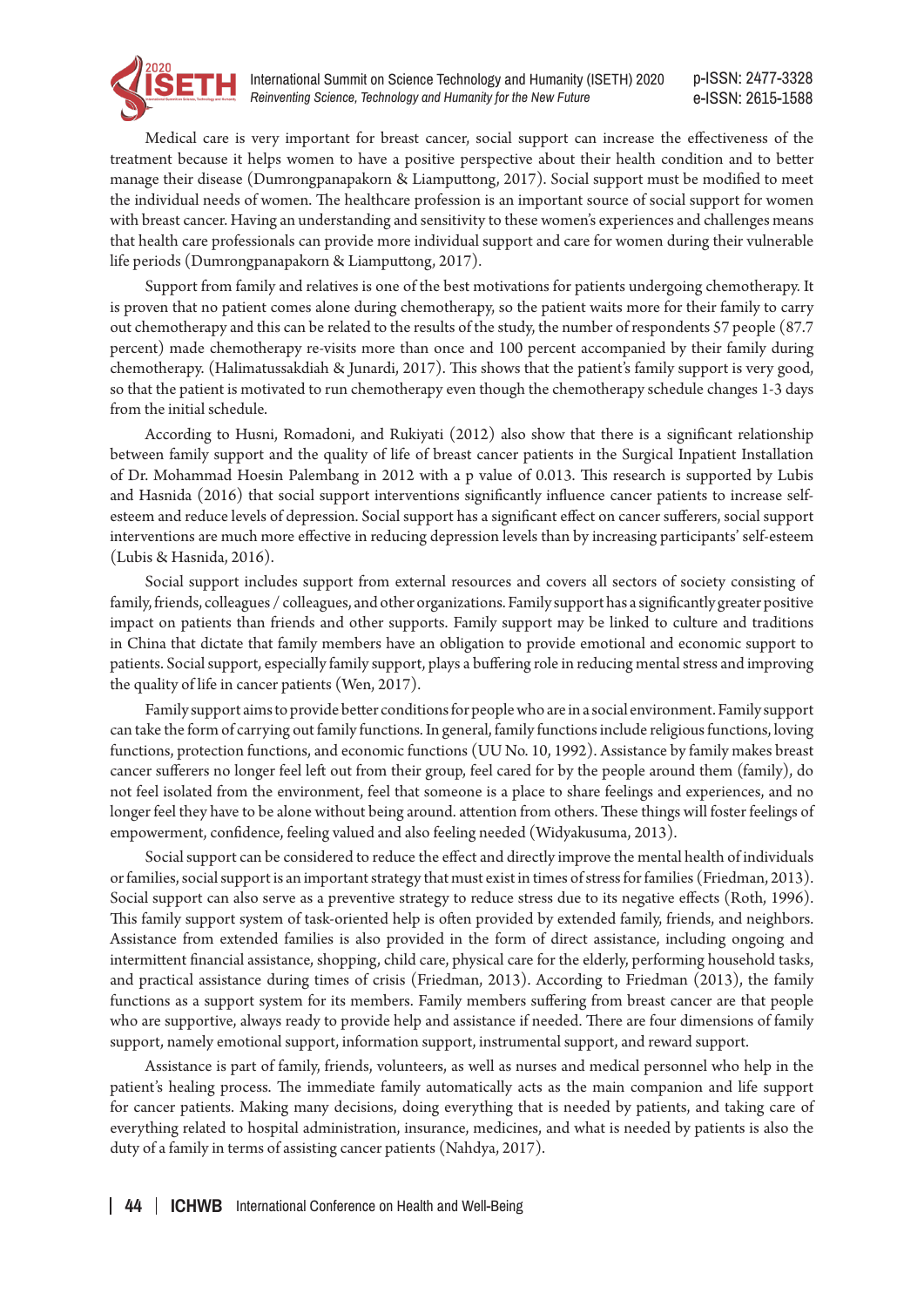

p-ISSN: 2477-3328 e-ISSN: 2615-1588

Medical care is very important for breast cancer, social support can increase the effectiveness of the treatment because it helps women to have a positive perspective about their health condition and to better manage their disease (Dumrongpanapakorn & Liamputtong, 2017). Social support must be modified to meet the individual needs of women. The healthcare profession is an important source of social support for women with breast cancer. Having an understanding and sensitivity to these women's experiences and challenges means that health care professionals can provide more individual support and care for women during their vulnerable life periods (Dumrongpanapakorn & Liamputtong, 2017).

Support from family and relatives is one of the best motivations for patients undergoing chemotherapy. It is proven that no patient comes alone during chemotherapy, so the patient waits more for their family to carry out chemotherapy and this can be related to the results of the study, the number of respondents 57 people (87.7 percent) made chemotherapy re-visits more than once and 100 percent accompanied by their family during chemotherapy. (Halimatussakdiah & Junardi, 2017). This shows that the patient's family support is very good, so that the patient is motivated to run chemotherapy even though the chemotherapy schedule changes 1-3 days from the initial schedule.

According to Husni, Romadoni, and Rukiyati (2012) also show that there is a significant relationship between family support and the quality of life of breast cancer patients in the Surgical Inpatient Installation of Dr. Mohammad Hoesin Palembang in 2012 with a p value of 0.013. This research is supported by Lubis and Hasnida (2016) that social support interventions significantly influence cancer patients to increase selfesteem and reduce levels of depression. Social support has a significant effect on cancer sufferers, social support interventions are much more effective in reducing depression levels than by increasing participants' self-esteem (Lubis & Hasnida, 2016).

Social support includes support from external resources and covers all sectors of society consisting of family, friends, colleagues / colleagues, and other organizations. Family support has a significantly greater positive impact on patients than friends and other supports. Family support may be linked to culture and traditions in China that dictate that family members have an obligation to provide emotional and economic support to patients. Social support, especially family support, plays a buffering role in reducing mental stress and improving the quality of life in cancer patients (Wen, 2017).

Family support aims to provide better conditions for people who are in a social environment. Family support can take the form of carrying out family functions. In general, family functions include religious functions, loving functions, protection functions, and economic functions (UU No. 10, 1992). Assistance by family makes breast cancer sufferers no longer feel left out from their group, feel cared for by the people around them (family), do not feel isolated from the environment, feel that someone is a place to share feelings and experiences, and no longer feel they have to be alone without being around. attention from others. These things will foster feelings of empowerment, confidence, feeling valued and also feeling needed (Widyakusuma, 2013).

Social support can be considered to reduce the effect and directly improve the mental health of individuals or families, social support is an important strategy that must exist in times of stress for families (Friedman, 2013). Social support can also serve as a preventive strategy to reduce stress due to its negative effects (Roth, 1996). This family support system of task-oriented help is often provided by extended family, friends, and neighbors. Assistance from extended families is also provided in the form of direct assistance, including ongoing and intermittent financial assistance, shopping, child care, physical care for the elderly, performing household tasks, and practical assistance during times of crisis (Friedman, 2013). According to Friedman (2013), the family functions as a support system for its members. Family members suffering from breast cancer are that people who are supportive, always ready to provide help and assistance if needed. There are four dimensions of family support, namely emotional support, information support, instrumental support, and reward support.

Assistance is part of family, friends, volunteers, as well as nurses and medical personnel who help in the patient's healing process. The immediate family automatically acts as the main companion and life support for cancer patients. Making many decisions, doing everything that is needed by patients, and taking care of everything related to hospital administration, insurance, medicines, and what is needed by patients is also the duty of a family in terms of assisting cancer patients (Nahdya, 2017).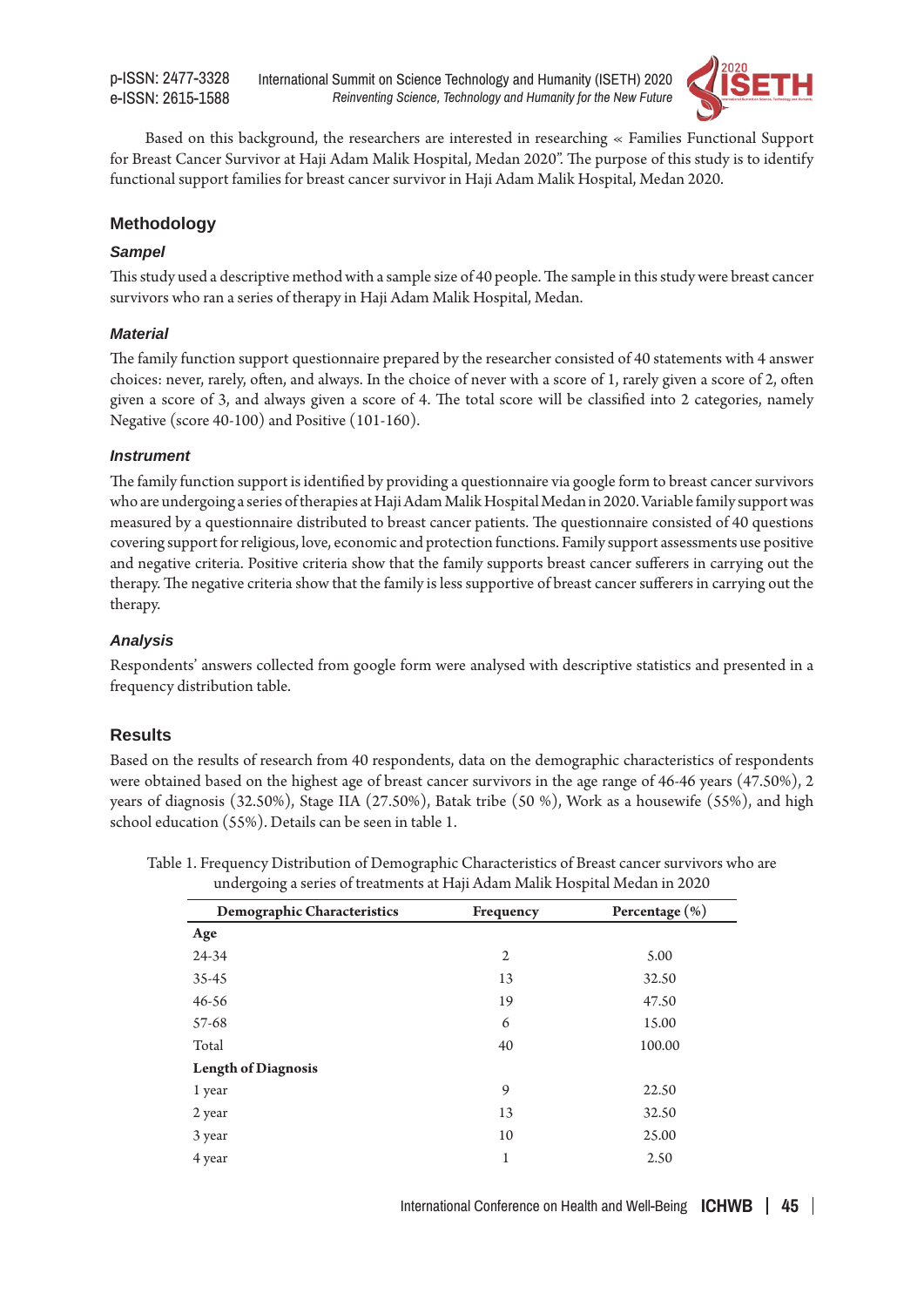p-ISSN: 2477-3328 e-ISSN: 2615-1588

International Summit on Science Technology and Humanity (ISETH) 2020 *Reinventing Science, Technology and Humanity for the New Future*



Based on this background, the researchers are interested in researching « Families Functional Support for Breast Cancer Survivor at Haji Adam Malik Hospital, Medan 2020". The purpose of this study is to identify functional support families for breast cancer survivor in Haji Adam Malik Hospital, Medan 2020.

# **Methodology**

#### *Sampel*

This study used a descriptive method with a sample size of 40 people. The sample in this study were breast cancer survivors who ran a series of therapy in Haji Adam Malik Hospital, Medan.

#### *Material*

The family function support questionnaire prepared by the researcher consisted of 40 statements with 4 answer choices: never, rarely, often, and always. In the choice of never with a score of 1, rarely given a score of 2, often given a score of 3, and always given a score of 4. The total score will be classified into 2 categories, namely Negative (score 40-100) and Positive (101-160).

#### *Instrument*

The family function support is identified by providing a questionnaire via google form to breast cancer survivors who are undergoing a series of therapies at Haji Adam Malik Hospital Medan in 2020. Variable family support was measured by a questionnaire distributed to breast cancer patients. The questionnaire consisted of 40 questions covering support for religious, love, economic and protection functions. Family support assessments use positive and negative criteria. Positive criteria show that the family supports breast cancer sufferers in carrying out the therapy. The negative criteria show that the family is less supportive of breast cancer sufferers in carrying out the therapy.

## *Analysis*

Respondents' answers collected from google form were analysed with descriptive statistics and presented in a frequency distribution table.

## **Results**

Based on the results of research from 40 respondents, data on the demographic characteristics of respondents were obtained based on the highest age of breast cancer survivors in the age range of 46-46 years (47.50%), 2 years of diagnosis (32.50%), Stage IIA (27.50%), Batak tribe (50 %), Work as a housewife (55%), and high school education (55%). Details can be seen in table 1.

| Demographic Characteristics | Frequency | Percentage (%) |
|-----------------------------|-----------|----------------|
| Age                         |           |                |
| 24-34                       | 2         | 5.00           |
| $35 - 45$                   | 13        | 32.50          |
| $46 - 56$                   | 19        | 47.50          |
| 57-68                       | 6         | 15.00          |
| Total                       | 40        | 100.00         |
| <b>Length of Diagnosis</b>  |           |                |
| 1 year                      | 9         | 22.50          |
| 2 year                      | 13        | 32.50          |
| 3 year                      | 10        | 25.00          |
| 4 year                      | 1         | 2.50           |

Table 1. Frequency Distribution of Demographic Characteristics of Breast cancer survivors who are undergoing a series of treatments at Haji Adam Malik Hospital Medan in 2020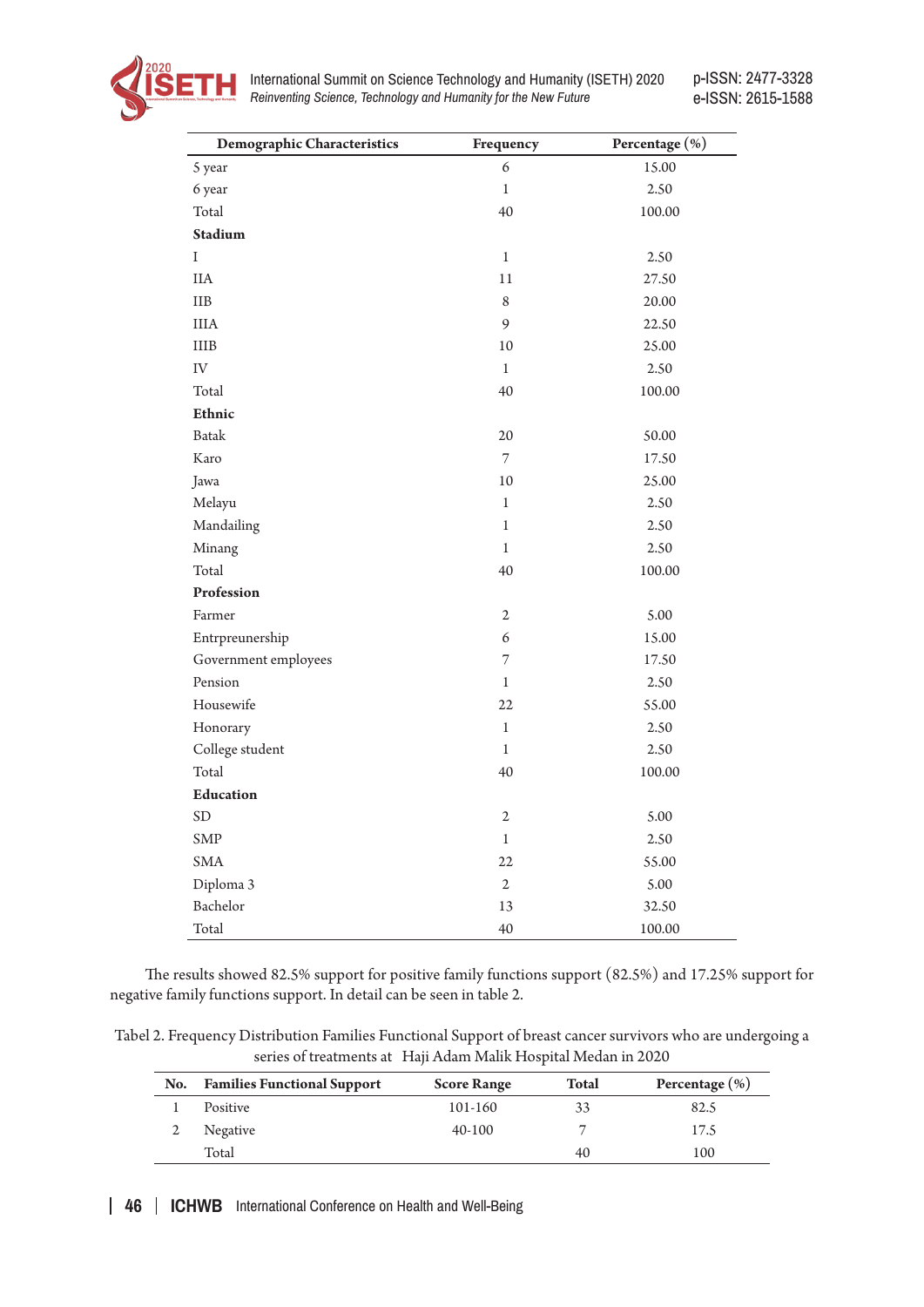

International Summit on Science Technology and Humanity (ISETH) 2020 *Reinventing Science, Technology and Humanity for the New Future*

p-ISSN: 2477-3328 e-ISSN: 2615-1588

| Demographic Characteristics | Frequency      | Percentage (%) |
|-----------------------------|----------------|----------------|
| 5 year                      | 6              | 15.00          |
| 6 year                      | $\mathbf{1}$   | 2.50           |
| Total                       | 40             | 100.00         |
| Stadium                     |                |                |
| I                           | $\mathbf{1}$   | 2.50           |
| $\rm IIA$                   | $11\,$         | 27.50          |
| <b>IIB</b>                  | 8              | 20.00          |
| <b>IIIA</b>                 | 9              | 22.50          |
| $\rm IIIB$                  | $10\,$         | 25.00          |
| ${\rm IV}$                  | $\mathbf{1}$   | 2.50           |
| Total                       | 40             | 100.00         |
| Ethnic                      |                |                |
| <b>Batak</b>                | 20             | 50.00          |
| Karo                        | 7              | 17.50          |
| Jawa                        | $10\,$         | 25.00          |
| Melayu                      | $\mathbf{1}$   | 2.50           |
| Mandailing                  | $\mathbf{1}$   | 2.50           |
| Minang                      | $\mathbf{1}$   | 2.50           |
| Total                       | 40             | 100.00         |
| Profession                  |                |                |
| Farmer                      | $\sqrt{2}$     | 5.00           |
| Entrpreunership             | 6              | 15.00          |
| Government employees        | 7              | 17.50          |
| Pension                     | $\mathbf{1}$   | 2.50           |
| Housewife                   | 22             | 55.00          |
| Honorary                    | $\,1$          | 2.50           |
| College student             | $\mathbf{1}$   | 2.50           |
| Total                       | 40             | 100.00         |
| <b>Education</b>            |                |                |
| <b>SD</b>                   | $\mathfrak{2}$ | 5.00           |
| <b>SMP</b>                  | $\,1$          | $2.50\,$       |
| <b>SMA</b>                  | $22\,$         | 55.00          |
| Diploma 3                   | $\sqrt{2}$     | 5.00           |
| Bachelor                    | 13             | 32.50          |
| Total                       | 40             | 100.00         |

The results showed 82.5% support for positive family functions support (82.5%) and 17.25% support for negative family functions support. In detail can be seen in table 2.

| Tabel 2. Frequency Distribution Families Functional Support of breast cancer survivors who are undergoing a |
|-------------------------------------------------------------------------------------------------------------|
| series of treatments at Haji Adam Malik Hospital Medan in 2020                                              |

| No. | <b>Families Functional Support</b> | <b>Score Range</b> | <b>Total</b> | Percentage $(\% )$ |
|-----|------------------------------------|--------------------|--------------|--------------------|
|     | Positive                           | 101-160            | 33           | 82.5               |
|     | Negative                           | $40-100$           |              | 17.5               |
|     | Total                              |                    | 40           | 100                |

**46 ICHWB** International Conference on Health and Well-Being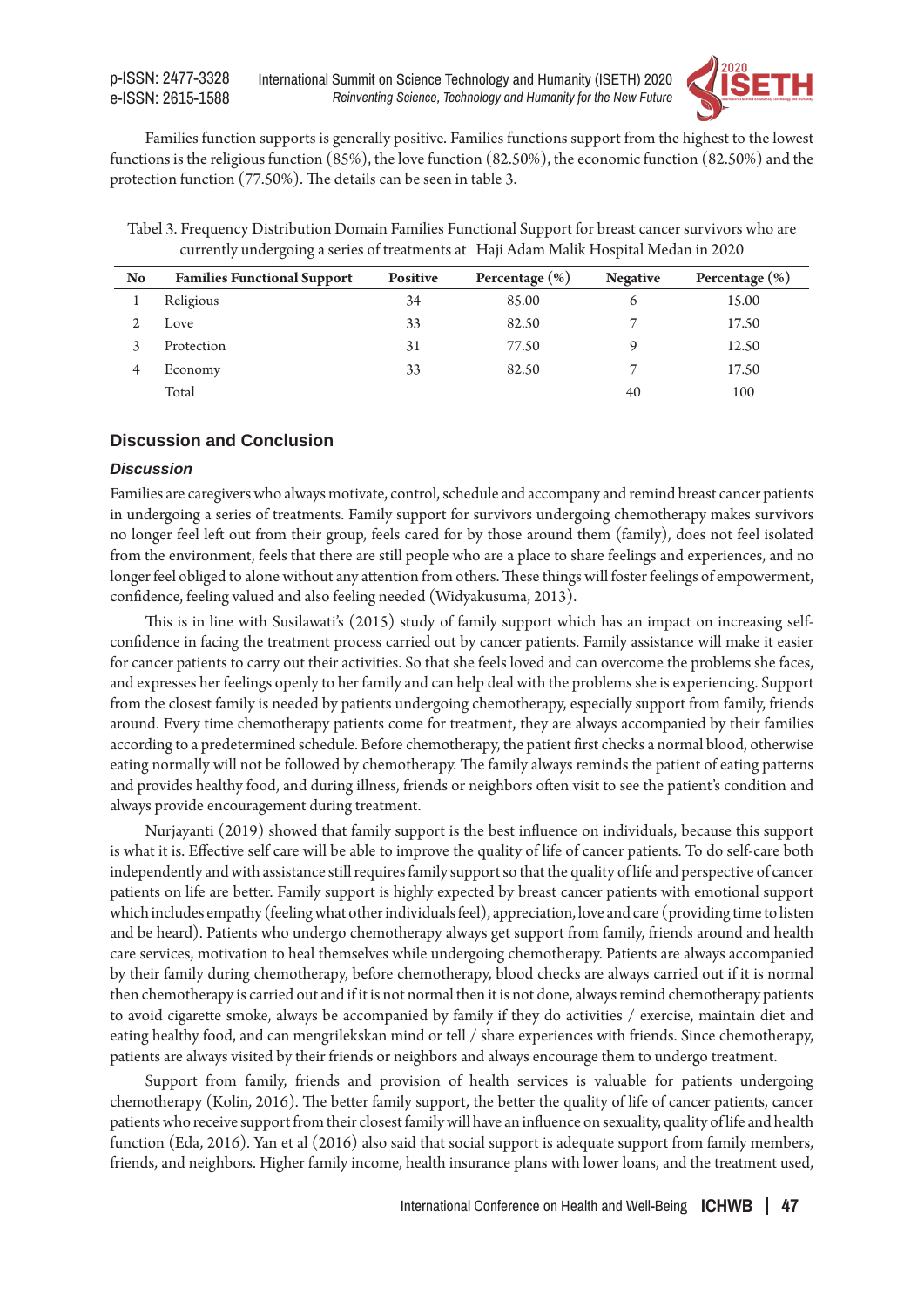

Families function supports is generally positive. Families functions support from the highest to the lowest functions is the religious function (85%), the love function (82.50%), the economic function (82.50%) and the protection function (77.50%). The details can be seen in table 3.

Tabel 3. Frequency Distribution Domain Families Functional Support for breast cancer survivors who are currently undergoing a series of treatments at Haji Adam Malik Hospital Medan in 2020

| No | <b>Families Functional Support</b> | <b>Positive</b> | Percentage $(\% )$ | <b>Negative</b> | Percentage $(\% )$ |
|----|------------------------------------|-----------------|--------------------|-----------------|--------------------|
|    | Religious                          | 34              | 85.00              | 6               | 15.00              |
|    | Love                               | 33              | 82.50              | $\overline{ }$  | 17.50              |
|    | Protection                         | 31              | 77.50              | 9               | 12.50              |
| 4  | Economy                            | 33              | 82.50              |                 | 17.50              |
|    | Total                              |                 |                    | 40              | 100                |

# **Discussion and Conclusion**

#### *Discussion*

Families are caregivers who always motivate, control, schedule and accompany and remind breast cancer patients in undergoing a series of treatments. Family support for survivors undergoing chemotherapy makes survivors no longer feel left out from their group, feels cared for by those around them (family), does not feel isolated from the environment, feels that there are still people who are a place to share feelings and experiences, and no longer feel obliged to alone without any attention from others. These things will foster feelings of empowerment, confidence, feeling valued and also feeling needed (Widyakusuma, 2013).

This is in line with Susilawati's (2015) study of family support which has an impact on increasing selfconfidence in facing the treatment process carried out by cancer patients. Family assistance will make it easier for cancer patients to carry out their activities. So that she feels loved and can overcome the problems she faces, and expresses her feelings openly to her family and can help deal with the problems she is experiencing. Support from the closest family is needed by patients undergoing chemotherapy, especially support from family, friends around. Every time chemotherapy patients come for treatment, they are always accompanied by their families according to a predetermined schedule. Before chemotherapy, the patient first checks a normal blood, otherwise eating normally will not be followed by chemotherapy. The family always reminds the patient of eating patterns and provides healthy food, and during illness, friends or neighbors often visit to see the patient's condition and always provide encouragement during treatment.

Nurjayanti (2019) showed that family support is the best influence on individuals, because this support is what it is. Effective self care will be able to improve the quality of life of cancer patients. To do self-care both independently and with assistance still requires family support so that the quality of life and perspective of cancer patients on life are better. Family support is highly expected by breast cancer patients with emotional support which includes empathy (feeling what other individuals feel), appreciation, love and care (providing time to listen and be heard). Patients who undergo chemotherapy always get support from family, friends around and health care services, motivation to heal themselves while undergoing chemotherapy. Patients are always accompanied by their family during chemotherapy, before chemotherapy, blood checks are always carried out if it is normal then chemotherapy is carried out and if it is not normal then it is not done, always remind chemotherapy patients to avoid cigarette smoke, always be accompanied by family if they do activities / exercise, maintain diet and eating healthy food, and can mengrilekskan mind or tell / share experiences with friends. Since chemotherapy, patients are always visited by their friends or neighbors and always encourage them to undergo treatment.

Support from family, friends and provision of health services is valuable for patients undergoing chemotherapy (Kolin, 2016). The better family support, the better the quality of life of cancer patients, cancer patients who receive support from their closest family will have an influence on sexuality, quality of life and health function (Eda, 2016). Yan et al (2016) also said that social support is adequate support from family members, friends, and neighbors. Higher family income, health insurance plans with lower loans, and the treatment used,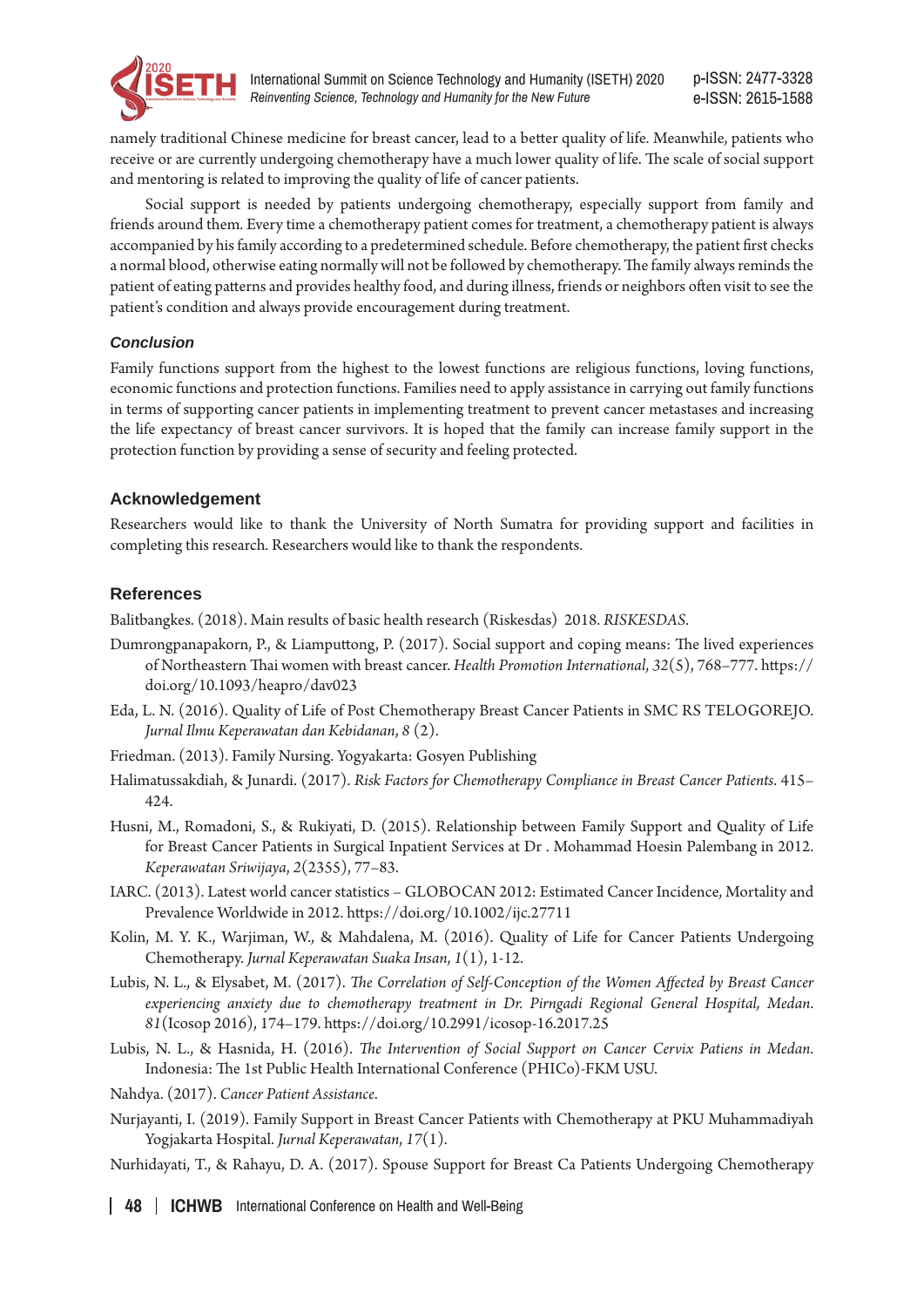

namely traditional Chinese medicine for breast cancer, lead to a better quality of life. Meanwhile, patients who receive or are currently undergoing chemotherapy have a much lower quality of life. The scale of social support and mentoring is related to improving the quality of life of cancer patients.

Social support is needed by patients undergoing chemotherapy, especially support from family and friends around them. Every time a chemotherapy patient comes for treatment, a chemotherapy patient is always accompanied by his family according to a predetermined schedule. Before chemotherapy, the patient first checks a normal blood, otherwise eating normally will not be followed by chemotherapy. The family always reminds the patient of eating patterns and provides healthy food, and during illness, friends or neighbors often visit to see the patient's condition and always provide encouragement during treatment.

# *Conclusion*

Family functions support from the highest to the lowest functions are religious functions, loving functions, economic functions and protection functions. Families need to apply assistance in carrying out family functions in terms of supporting cancer patients in implementing treatment to prevent cancer metastases and increasing the life expectancy of breast cancer survivors. It is hoped that the family can increase family support in the protection function by providing a sense of security and feeling protected.

# **Acknowledgement**

Researchers would like to thank the University of North Sumatra for providing support and facilities in completing this research. Researchers would like to thank the respondents.

# **References**

Balitbangkes. (2018). Main results of basic health research (Riskesdas) 2018. *RISKESDAS*.

- Dumrongpanapakorn, P., & Liamputtong, P. (2017). Social support and coping means: The lived experiences of Northeastern Thai women with breast cancer. *Health Promotion International*, *32*(5), 768–777. https:// doi.org/10.1093/heapro/dav023
- Eda, L. N. (2016). Quality of Life of Post Chemotherapy Breast Cancer Patients in SMC RS TELOGOREJO. *Jurnal Ilmu Keperawatan dan Kebidanan*, *8* (2).
- Friedman. (2013). Family Nursing. Yogyakarta: Gosyen Publishing
- Halimatussakdiah, & Junardi. (2017). *Risk Factors for Chemotherapy Compliance in Breast Cancer Patients*. 415– 424.
- Husni, M., Romadoni, S., & Rukiyati, D. (2015). Relationship between Family Support and Quality of Life for Breast Cancer Patients in Surgical Inpatient Services at Dr . Mohammad Hoesin Palembang in 2012. *Keperawatan Sriwijaya*, *2*(2355), 77–83.
- IARC. (2013). Latest world cancer statistics GLOBOCAN 2012: Estimated Cancer Incidence, Mortality and Prevalence Worldwide in 2012. https://doi.org/10.1002/ijc.27711
- Kolin, M. Y. K., Warjiman, W., & Mahdalena, M. (2016). Quality of Life for Cancer Patients Undergoing Chemotherapy. *Jurnal Keperawatan Suaka Insan*, *1*(1), 1-12.
- Lubis, N. L., & Elysabet, M. (2017). *The Correlation of Self-Conception of the Women Affected by Breast Cancer experiencing anxiety due to chemotherapy treatment in Dr. Pirngadi Regional General Hospital, Medan*. *81*(Icosop 2016), 174–179. https://doi.org/10.2991/icosop-16.2017.25
- Lubis, N. L., & Hasnida, H. (2016). *The Intervention of Social Support on Cancer Cervix Patiens in Medan*. Indonesia: The 1st Public Health International Conference (PHICo)-FKM USU.
- Nahdya. (2017). *Cancer Patient Assistance*.
- Nurjayanti, I. (2019). Family Support in Breast Cancer Patients with Chemotherapy at PKU Muhammadiyah Yogjakarta Hospital. *Jurnal Keperawatan*, *17*(1).
- Nurhidayati, T., & Rahayu, D. A. (2017). Spouse Support for Breast Ca Patients Undergoing Chemotherapy

**48 ICHWB** International Conference on Health and Well-Being